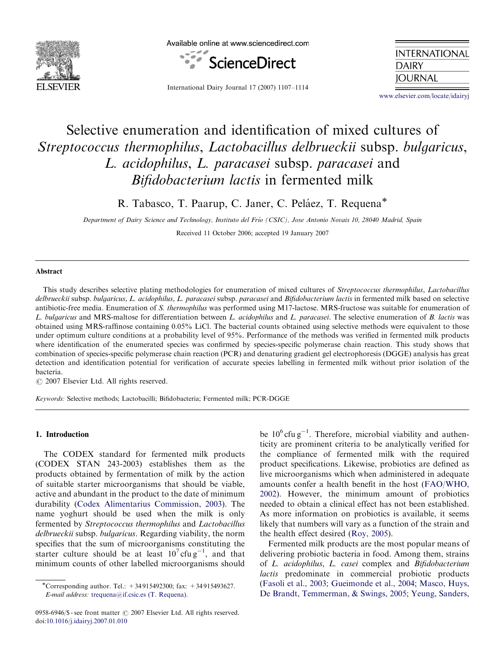

Available online at www.sciencedirect.com



**INTERNATIONAL DAIRY JOURNAL** 

International Dairy Journal 17 (2007) 1107–1114

<www.elsevier.com/locate/idairyj>

# Selective enumeration and identification of mixed cultures of Streptococcus thermophilus, Lactobacillus delbrueckii subsp. bulgaricus, L. acidophilus, L. paracasei subsp. paracasei and Bifidobacterium lactis in fermented milk

R. Tabasco, T. Paarup, C. Janer, C. Peláez, T. Requena\*

Department of Dairy Science and Technology, Instituto del Frío (CSIC), Jose Antonio Novais 10, 28040 Madrid, Spain

Received 11 October 2006; accepted 19 January 2007

# Abstract

This study describes selective plating methodologies for enumeration of mixed cultures of Streptococcus thermophilus, Lactobacillus delbrueckii subsp. bulgaricus, L. acidophilus, L. paracasei subsp. paracasei and Bifidobacterium lactis in fermented milk based on selective antibiotic-free media. Enumeration of S. thermophilus was performed using M17-lactose. MRS-fructose was suitable for enumeration of L. bulgaricus and MRS-maltose for differentiation between L. acidophilus and L. paracasei. The selective enumeration of B. lactis was obtained using MRS-raffinose containing 0.05% LiCl. The bacterial counts obtained using selective methods were equivalent to those under optimum culture conditions at a probability level of 95%. Performance of the methods was verified in fermented milk products where identification of the enumerated species was confirmed by species-specific polymerase chain reaction. This study shows that combination of species-specific polymerase chain reaction (PCR) and denaturing gradient gel electrophoresis (DGGE) analysis has great detection and identification potential for verification of accurate species labelling in fermented milk without prior isolation of the bacteria.

 $\odot$  2007 Elsevier Ltd. All rights reserved.

Keywords: Selective methods; Lactobacilli; Bifidobacteria; Fermented milk; PCR-DGGE

#### 1. Introduction

The CODEX standard for fermented milk products (CODEX STAN 243-2003) establishes them as the products obtained by fermentation of milk by the action of suitable starter microorganisms that should be viable, active and abundant in the product to the date of minimum durability ([Codex Alimentarius Commission, 2003](#page-6-0)). The name yoghurt should be used when the milk is only fermented by Streptococcus thermophilus and Lactobacillus delbrueckii subsp. bulgaricus. Regarding viability, the norm specifies that the sum of microorganisms constituting the starter culture should be at least  $10^7$  cfu g<sup>-1</sup>, and that minimum counts of other labelled microorganisms should

be  $10^6$  cfu g<sup>-1</sup>. Therefore, microbial viability and authenticity are prominent criteria to be analytically verified for the compliance of fermented milk with the required product specifications. Likewise, probiotics are defined as live microorganisms which when administered in adequate amounts confer a health benefit in the host ([FAO/WHO,](#page-6-0) [2002](#page-6-0)). However, the minimum amount of probiotics needed to obtain a clinical effect has not been established. As more information on probiotics is available, it seems likely that numbers will vary as a function of the strain and the health effect desired ([Roy, 2005](#page-7-0)).

Fermented milk products are the most popular means of delivering probiotic bacteria in food. Among them, strains of L. acidophilus, L. casei complex and Bifidobacterium lactis predominate in commercial probiotic products ([Fasoli et al., 2003](#page-6-0); [Gueimonde et al., 2004](#page-7-0); [Masco, Huys,](#page-7-0) [De Brandt, Temmerman, & Swings, 2005](#page-7-0); [Yeung, Sanders,](#page-7-0)

<sup>-</sup>Corresponding author. Tel.: +34 915492300; fax: +34 915493627. E-mail address: [trequena@if.csic.es \(T. Requena\).](mailto:trequena@if.csic.es)

<sup>0958-6946/\$ -</sup> see front matter © 2007 Elsevier Ltd. All rights reserved. doi:[10.1016/j.idairyj.2007.01.010](dx.doi.org/10.1016/j.idairyj.2007.01.010)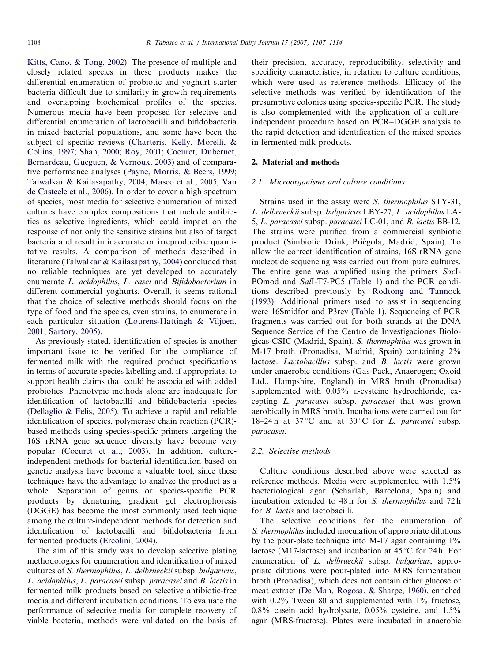[Kitts, Cano,](#page-7-0) & [Tong, 2002\)](#page-7-0). The presence of multiple and closely related species in these products makes the differential enumeration of probiotic and yoghurt starter bacteria difficult due to similarity in growth requirements and overlapping biochemical profiles of the species. Numerous media have been proposed for selective and differential enumeration of lactobacilli and bifidobacteria in mixed bacterial populations, and some have been the subject of specific reviews ([Charteris, Kelly, Morelli,](#page-6-0) & [Collins, 1997](#page-6-0); [Shah, 2000](#page-7-0); [Roy, 2001;](#page-7-0) [Coeuret, Dubernet,](#page-6-0) [Bernardeau, Gueguen,](#page-6-0) & [Vernoux, 2003\)](#page-6-0) and of comparative performance analyses ([Payne, Morris,](#page-7-0) & [Beers, 1999](#page-7-0); [Talwalkar & Kailasapathy, 2004;](#page-7-0) [Masco et al., 2005;](#page-7-0) [Van](#page-7-0) [de Casteele et al., 2006](#page-7-0)). In order to cover a high spectrum of species, most media for selective enumeration of mixed cultures have complex compositions that include antibiotics as selective ingredients, which could impact on the response of not only the sensitive strains but also of target bacteria and result in inaccurate or irreproducible quantitative results. A comparison of methods described in literature [\(Talwalkar](#page-7-0) & [Kailasapathy, 2004](#page-7-0)) concluded that no reliable techniques are yet developed to accurately enumerate L. acidophilus, L. casei and Bifidobacterium in different commercial yoghurts. Overall, it seems rational that the choice of selective methods should focus on the type of food and the species, even strains, to enumerate in each particular situation [\(Lourens-Hattingh](#page-7-0) [& Viljoen,](#page-7-0) [2001;](#page-7-0) [Sartory, 2005\)](#page-7-0).

As previously stated, identification of species is another important issue to be verified for the compliance of fermented milk with the required product specifications in terms of accurate species labelling and, if appropriate, to support health claims that could be associated with added probiotics. Phenotypic methods alone are inadequate for identification of lactobacilli and bifidobacteria species [\(Dellaglio & Felis, 2005\)](#page-6-0). To achieve a rapid and reliable identification of species, polymerase chain reaction (PCR) based methods using species-specific primers targeting the 16S rRNA gene sequence diversity have become very popular [\(Coeuret et al., 2003](#page-6-0)). In addition, cultureindependent methods for bacterial identification based on genetic analysis have become a valuable tool, since these techniques have the advantage to analyze the product as a whole. Separation of genus or species-specific PCR products by denaturing gradient gel electrophoresis (DGGE) has become the most commonly used technique among the culture-independent methods for detection and identification of lactobacilli and bifidobacteria from fermented products ([Ercolini, 2004\)](#page-6-0).

The aim of this study was to develop selective plating methodologies for enumeration and identification of mixed cultures of S. thermophilus, L. delbrueckii subsp. bulgaricus, L. acidophilus, L. paracasei subsp. paracasei and B. lactis in fermented milk products based on selective antibiotic-free media and different incubation conditions. To evaluate the performance of selective media for complete recovery of viable bacteria, methods were validated on the basis of their precision, accuracy, reproducibility, selectivity and specificity characteristics, in relation to culture conditions, which were used as reference methods. Efficacy of the selective methods was verified by identification of the presumptive colonies using species-specific PCR. The study is also complemented with the application of a cultureindependent procedure based on PCR–DGGE analysis to the rapid detection and identification of the mixed species in fermented milk products.

## 2. Material and methods

## 2.1. Microorganisms and culture conditions

Strains used in the assay were S. thermophilus STY-31, L. delbrueckii subsp. bulgaricus LBY-27, L. acidophilus LA-5, L. paracasei subsp. paracasei LC-01, and B. lactis BB-12. The strains were purified from a commercial synbiotic product (Simbiotic Drink; Priégola, Madrid, Spain). To allow the correct identification of strains, 16S rRNA gene nucleotide sequencing was carried out from pure cultures. The entire gene was amplified using the primers SacI-POmod and SalI-T7-PC5 [\(Table 1\)](#page-2-0) and the PCR conditions described previously by [Rodtong and Tannock](#page-7-0) [\(1993\)](#page-7-0). Additional primers used to assist in sequencing were 16Smidfor and P3rev ([Table 1](#page-2-0)). Sequencing of PCR fragments was carried out for both strands at the DNA Sequence Service of the Centro de Investigaciones Biológicas-CSIC (Madrid, Spain). S. thermophilus was grown in M-17 broth (Pronadisa, Madrid, Spain) containing 2% lactose. Lactobacillus subsp. and B. lactis were grown under anaerobic conditions (Gas-Pack, Anaerogen; Oxoid Ltd., Hampshire, England) in MRS broth (Pronadisa) supplemented with 0.05% L-cysteine hydrochloride, excepting L. paracasei subsp. paracasei that was grown aerobically in MRS broth. Incubations were carried out for 18–24 h at 37 °C and at 30 °C for L. paracasei subsp. paracasei.

# 2.2. Selective methods

Culture conditions described above were selected as reference methods. Media were supplemented with 1.5% bacteriological agar (Scharlab, Barcelona, Spain) and incubation extended to 48 h for S. thermophilus and 72 h for *B. lactis* and lactobacilli.

The selective conditions for the enumeration of S. thermophilus included inoculation of appropriate dilutions by the pour-plate technique into M-17 agar containing  $1\%$ lactose (M17-lactose) and incubation at  $45^{\circ}$ C for 24 h. For enumeration of *L. delbrueckii* subsp. *bulgaricus*, appropriate dilutions were pour-plated into MRS fermentation broth (Pronadisa), which does not contain either glucose or meat extract [\(De Man, Rogosa, & Sharpe, 1960\)](#page-6-0), enriched with 0.2% Tween 80 and supplemented with 1% fructose, 0.8% casein acid hydrolysate, 0.05% cysteine, and 1.5% agar (MRS-fructose). Plates were incubated in anaerobic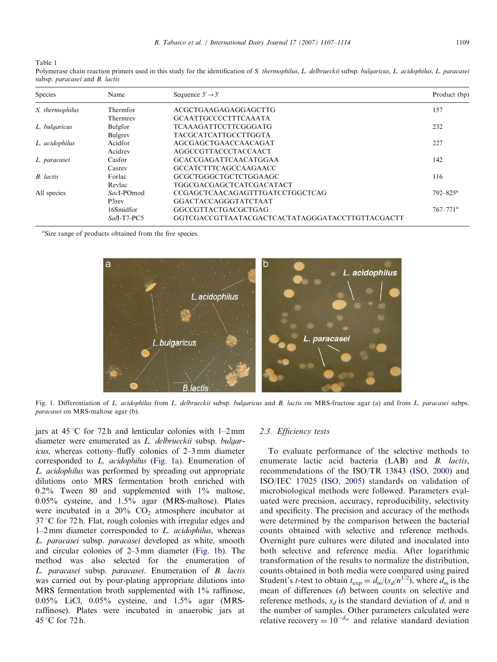<span id="page-2-0"></span>Table 1

Polymerase chain reaction primers used in this study for the identification of S. thermophilus, L. delbrueckii subsp. bulgaricus, L. acidophilus, L. paracasei subsp. paracasei and B. lactis

| Species          | Name        | Sequence $5' \rightarrow 3'$                    | Product (bp)             |
|------------------|-------------|-------------------------------------------------|--------------------------|
| S. thermophilus  | Thermfor    | ACGCTGAAGAGAGGAGCTTG                            | 157                      |
|                  | Thermrey    | <b>GCAATTGCCCCTTTCAAATA</b>                     |                          |
| L. bulgaricus    | Bulgfor     | <b>TCAAAGATTCCTTCGGGATG</b>                     | 232                      |
|                  | Bulgrev     | <b>TACGCATCATTGCCTTGGTA</b>                     |                          |
| L. acidophilus   | Acidfor     | AGCGAGCTGAACCAACAGAT                            | 227                      |
|                  | Acidrey     | <b>AGGCCGTTACCCTACCAACT</b>                     |                          |
| L. paracasei     | Casfor      | <b>GCACCGAGATTCAACATGGAA</b>                    | 142                      |
|                  | Casrey      | <b>GCCATCTTTCAGCCAAGAACC</b>                    |                          |
| <b>B.</b> lactis | Forlac      | GCGCTGGGCTGCTCTGGAAGC                           | 116                      |
|                  | Revlac      | <b>TGGCGACGAGCTCATCGACATACT</b>                 |                          |
| All species      | SacI-POmod  | CCGAGCTCAACAGAGTTTGATCCTGGCTCAG                 | $792 - 825$ <sup>a</sup> |
|                  | P3rev       | GGACTACCAGGGTATCTAAT                            |                          |
|                  | 16Smidfor   | GGCCGTTACTGACGCTGAG                             | $767 - 771$ <sup>a</sup> |
|                  | Sall-T7-PC5 | GGTCGACCGTTAATACGACTCACTATAGGGATACCTTGTTACGACTT |                          |

<sup>a</sup>Size range of products obtained from the five species.



Fig. 1. Differentiation of L. acidophilus from L. delbrueckii subsp. bulgaricus and B. lactis on MRS-fructose agar (a) and from L. paracasei subps. paracasei on MRS-maltose agar (b).

jars at  $45^{\circ}$ C for 72 h and lenticular colonies with 1–2 mm diameter were enumerated as L. delbrueckii subsp. bulgaricus, whereas cottony–fluffy colonies of 2–3 mm diameter corresponded to L. acidophilus (Fig. 1a). Enumeration of L. acidophilus was performed by spreading out appropriate dilutions onto MRS fermentation broth enriched with 0.2% Tween 80 and supplemented with 1% maltose, 0.05% cysteine, and 1.5% agar (MRS-maltose). Plates were incubated in a  $20\%$  CO<sub>2</sub> atmosphere incubator at  $37^{\circ}$ C for 72 h. Flat, rough colonies with irregular edges and  $1-2$  mm diameter corresponded to  $L$ . *acidophilus*, whereas L. paracasei subsp. paracasei developed as white, smooth and circular colonies of 2–3 mm diameter (Fig. 1b). The method was also selected for the enumeration of L. paracasei subsp. paracasei. Enumeration of B. lactis was carried out by pour-plating appropriate dilutions into MRS fermentation broth supplemented with 1% raffinose, 0.05% LiCl, 0.05% cysteine, and 1.5% agar (MRSraffinose). Plates were incubated in anaerobic jars at 45 °C for 72 h.

# 2.3. Efficiency tests

To evaluate performance of the selective methods to enumerate lactic acid bacteria (LAB) and *B. lactis*, recommendations of the ISO/TR 13843 ([ISO, 2000\)](#page-7-0) and ISO/IEC 17025 ([ISO, 2005\)](#page-7-0) standards on validation of microbiological methods were followed. Parameters evaluated were precision, accuracy, reproducibility, selectivity and specificity. The precision and accuracy of the methods were determined by the comparison between the bacterial counts obtained with selective and reference methods. Overnight pure cultures were diluted and inoculated into both selective and reference media. After logarithmic transformation of the results to normalize the distribution, counts obtained in both media were compared using paired Student's *t*-test to obtain  $t_{exp} = d_m/(s_d/n^{1/2})$ , where  $d_m$  is the mean of differences (d) between counts on selective and reference methods,  $s_d$  is the standard deviation of d, and n the number of samples. Other parameters calculated were relative recovery =  $10^{-d_m}$  and relative standard deviation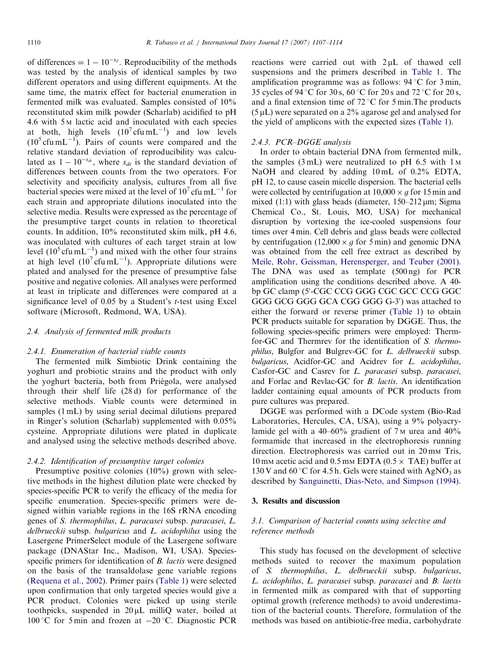of differences  $= 1 - 10^{-s_d}$ . Reproducibility of the methods was tested by the analysis of identical samples by two different operators and using different equipments. At the same time, the matrix effect for bacterial enumeration in fermented milk was evaluated. Samples consisted of 10% reconstituted skim milk powder (Scharlab) acidified to pH 4.6 with 5 <sup>M</sup> lactic acid and inoculated with each species at both, high levels  $(10^7 \text{cfu} \text{mL}^{-1})$  and low levels  $(10<sup>5</sup>$  cfu mL<sup>-1</sup>). Pairs of counts were compared and the relative standard deviation of reproducibility was calculated as  $1 - 10^{-s_{dr}}$ , where  $s_{dr}$  is the standard deviation of differences between counts from the two operators. For selectivity and specificity analysis, cultures from all five bacterial species were mixed at the level of  $10^7$  cfu mL<sup>-1</sup> for each strain and appropriate dilutions inoculated into the selective media. Results were expressed as the percentage of the presumptive target counts in relation to theoretical counts. In addition, 10% reconstituted skim milk, pH 4.6, was inoculated with cultures of each target strain at low level  $(10^5 \text{cfu} \text{ mL}^{-1})$  and mixed with the other four strains at high level  $(10^7 \text{cfu} \text{mL}^{-1})$ . Appropriate dilutions were plated and analysed for the presence of presumptive false positive and negative colonies. All analyses were performed at least in triplicate and differences were compared at a significance level of  $0.05$  by a Student's *t*-test using Excel software (Microsoft, Redmond, WA, USA).

# 2.4. Analysis of fermented milk products

# 2.4.1. Enumeration of bacterial viable counts

The fermented milk Simbiotic Drink containing the yoghurt and probiotic strains and the product with only the yoghurt bacteria, both from Priégola, were analysed through their shelf life (28 d) for performance of the selective methods. Viable counts were determined in samples (1 mL) by using serial decimal dilutions prepared in Ringer's solution (Scharlab) supplemented with 0.05% cysteine. Appropriate dilutions were plated in duplicate and analysed using the selective methods described above.

#### 2.4.2. Identification of presumptive target colonies

Presumptive positive colonies (10%) grown with selective methods in the highest dilution plate were checked by species-specific PCR to verify the efficacy of the media for specific enumeration. Species-specific primers were designed within variable regions in the 16S rRNA encoding genes of S. thermophilus, L. paracasei subsp. paracasei, L. delbrueckii subsp. bulgaricus and L. acidophilus using the Lasergene PrimerSelect module of the Lasergene software package (DNAStar Inc., Madison, WI, USA). Speciesspecific primers for identification of *B. lactis* were designed on the basis of the transaldolase gene variable regions [\(Requena et al., 2002\)](#page-7-0). Primer pairs [\(Table 1](#page-2-0)) were selected upon confirmation that only targeted species would give a PCR product. Colonies were picked up using sterile toothpicks, suspended in  $20 \mu L$  milliQ water, boiled at 100 °C for 5 min and frozen at  $-20$  °C. Diagnostic PCR

reactions were carried out with  $2 \mu L$  of thawed cell suspensions and the primers described in [Table 1](#page-2-0). The amplification programme was as follows:  $94^{\circ}$ C for 3 min, 35 cycles of 94 °C for 30 s, 60 °C for 20 s and 72 °C for 20 s, and a final extension time of  $72^{\circ}$ C for 5 min. The products  $(5 \mu L)$  were separated on a 2% agarose gel and analysed for the yield of amplicons with the expected sizes [\(Table 1\)](#page-2-0).

#### 2.4.3. PCR–DGGE analysis

In order to obtain bacterial DNA from fermented milk, the samples  $(3 mL)$  were neutralized to pH 6.5 with 1 M NaOH and cleared by adding 10 mL of 0.2% EDTA, pH 12, to cause casein micelle dispersion. The bacterial cells were collected by centrifugation at  $10,000 \times g$  for 15 min and mixed (1:1) with glass beads (diameter, 150-212 µm; Sigma Chemical Co., St. Louis, MO, USA) for mechanical disruption by vortexing the ice-cooled suspensions four times over 4 min. Cell debris and glass beads were collected by centrifugation (12,000  $\times$  g for 5 min) and genomic DNA was obtained from the cell free extract as described by [Meile, Rohr, Geissman, Herensperger, and Teuber \(2001\)](#page-7-0). The DNA was used as template (500 ng) for PCR amplification using the conditions described above. A 40 bp GC clamp (5'-CGC CCG GGG CGC GCC CCG GGC GGG GCG GGG GCA CGG GGG G-3') was attached to either the forward or reverse primer [\(Table 1\)](#page-2-0) to obtain PCR products suitable for separation by DGGE. Thus, the following species-specific primers were employed: Thermfor-GC and Thermrev for the identification of S. thermophilus, Bulgfor and Bulgrev-GC for L. delbrueckii subsp. bulgaricus, Acidfor-GC and Acidrev for L. acidophilus, Casfor-GC and Casrev for L. paracasei subsp. paracasei, and Forlac and Revlac-GC for B. lactis. An identification ladder containing equal amounts of PCR products from pure cultures was prepared.

DGGE was performed with a DCode system (Bio-Rad Laboratories, Hercules, CA, USA), using a 9% polyacrylamide gel with a  $40-60\%$  gradient of 7 M urea and  $40\%$ formamide that increased in the electrophoresis running direction. Electrophoresis was carried out in 20 mm Tris, 10 mm acetic acid and 0.5 mm EDTA ( $0.5 \times$  TAE) buffer at 130 V and 60 °C for 4.5 h. Gels were stained with AgNO<sub>3</sub> as described by [Sanguinetti, Dias-Neto, and Simpson \(1994\).](#page-7-0)

# 3. Results and discussion

# 3.1. Comparison of bacterial counts using selective and reference methods

This study has focused on the development of selective methods suited to recover the maximum population of S. thermophilus, L. delbrueckii subsp. bulgaricus, L. acidophilus, L. paracasei subsp. paracasei and B. lactis in fermented milk as compared with that of supporting optimal growth (reference methods) to avoid underestimation of the bacterial counts. Therefore, formulation of the methods was based on antibiotic-free media, carbohydrate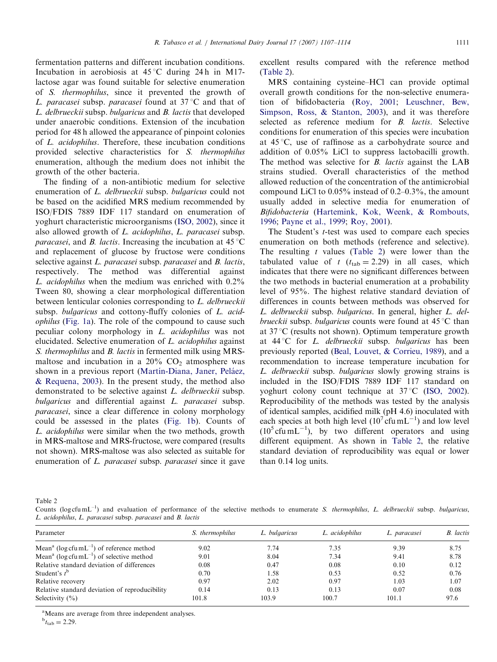<span id="page-4-0"></span>fermentation patterns and different incubation conditions. Incubation in aerobiosis at  $45^{\circ}$ C during 24 h in M17lactose agar was found suitable for selective enumeration of S. thermophilus, since it prevented the growth of L. paracasei subsp. paracasei found at  $37^{\circ}$ C and that of L. delbrueckii subsp. bulgaricus and B. lactis that developed under anaerobic conditions. Extension of the incubation period for 48 h allowed the appearance of pinpoint colonies of L. acidophilus. Therefore, these incubation conditions provided selective characteristics for S. thermophilus enumeration, although the medium does not inhibit the growth of the other bacteria.

The finding of a non-antibiotic medium for selective enumeration of L. delbrueckii subsp. bulgaricus could not be based on the acidified MRS medium recommended by ISO/FDIS 7889 IDF 117 standard on enumeration of yoghurt characteristic microorganisms ([ISO, 2002](#page-7-0)), since it also allowed growth of L. acidophilus, L. paracasei subsp. *paracasei*, and *B. lactis*. Increasing the incubation at  $45^{\circ}$ C and replacement of glucose by fructose were conditions selective against *L. paracasei* subsp. *paracasei* and *B. lactis*, respectively. The method was differential against L. acidophilus when the medium was enriched with 0.2% Tween 80, showing a clear morphological differentiation between lenticular colonies corresponding to L. delbrueckii subsp. bulgaricus and cottony-fluffy colonies of L. acidophilus [\(Fig. 1a\)](#page-2-0). The role of the compound to cause such peculiar colony morphology in L. acidophilus was not elucidated. Selective enumeration of L. acidophilus against S. thermophilus and B. lactis in fermented milk using MRSmaltose and incubation in a  $20\%$  CO<sub>2</sub> atmosphere was shown in a previous report (Martín-Diana, Janer, Peláez, [& Requena, 2003\)](#page-7-0). In the present study, the method also demonstrated to be selective against L. delbrueckii subsp. bulgaricus and differential against *L. paracasei* subsp. paracasei, since a clear difference in colony morphology could be assessed in the plates [\(Fig. 1b](#page-2-0)). Counts of L. acidophilus were similar when the two methods, growth in MRS-maltose and MRS-fructose, were compared (results not shown). MRS-maltose was also selected as suitable for enumeration of L. paracasei subsp. paracasei since it gave excellent results compared with the reference method (Table 2).

MRS containing cysteine–HCl can provide optimal overall growth conditions for the non-selective enumeration of bifidobacteria [\(Roy, 2001;](#page-7-0) [Leuschner, Bew,](#page-7-0) [Simpson, Ross, & Stanton, 2003](#page-7-0)), and it was therefore selected as reference medium for B. lactis. Selective conditions for enumeration of this species were incubation at  $45^{\circ}$ C, use of raffinose as a carbohydrate source and addition of 0.05% LiCl to suppress lactobacilli growth. The method was selective for *B. lactis* against the LAB strains studied. Overall characteristics of the method allowed reduction of the concentration of the antimicrobial compound LiCl to 0.05% instead of 0.2–0.3%, the amount usually added in selective media for enumeration of Bifidobacteria [\(Hartemink, Kok, Weenk,](#page-7-0) & [Rombouts,](#page-7-0) [1996](#page-7-0); [Payne et al., 1999](#page-7-0); [Roy, 2001](#page-7-0)).

The Student's t-test was used to compare each species enumeration on both methods (reference and selective). The resulting  $t$  values (Table 2) were lower than the tabulated value of t  $(t<sub>tab</sub> = 2.29)$  in all cases, which indicates that there were no significant differences between the two methods in bacterial enumeration at a probability level of 95%. The highest relative standard deviation of differences in counts between methods was observed for L. delbrueckii subsp. bulgaricus. In general, higher L. delbrueckii subsp. bulgaricus counts were found at  $45^{\circ}C$  than at  $37^{\circ}$ C (results not shown). Optimum temperature growth at  $44^{\circ}$ C for *L. delbrueckii* subsp. *bulgaricus* has been previously reported [\(Beal, Louvet,](#page-6-0) & [Corrieu, 1989](#page-6-0)), and a recommendation to increase temperature incubation for L. delbrueckii subsp. bulgaricus slowly growing strains is included in the ISO/FDIS 7889 IDF 117 standard on yoghurt colony count technique at  $37^{\circ}$ C [\(ISO, 2002\)](#page-7-0). Reproducibility of the methods was tested by the analysis of identical samples, acidified milk (pH 4.6) inoculated with each species at both high level  $(10^7 \text{c} \text{fu} \text{m} \text{L}^{-1})$  and low level  $(10^5 \text{cfu} \text{ mL}^{-1})$ , by two different operators and using different equipment. As shown in Table 2, the relative standard deviation of reproducibility was equal or lower than 0.14 log units.

Table 2

Counts (log cfu mL<sup>-1</sup>) and evaluation of performance of the selective methods to enumerate S. *thermophilus, L. delbrueckii* subsp. *bulgaricus*, L. acidophilus, L. paracasei subsp. paracasei and B. lactis

| Parameter                                                         | S. thermophilus | L. bulgaricus | L. acidophilus | L. paracasei | <b>B.</b> lactis |
|-------------------------------------------------------------------|-----------------|---------------|----------------|--------------|------------------|
| Mean <sup>a</sup> (log cfu mL <sup>-1</sup> ) of reference method | 9.02            | 7.74          | 7.35           | 9.39         | 8.75             |
| Mean <sup>a</sup> (log cfu mL <sup>-1</sup> ) of selective method | 9.01            | 8.04          | 7.34           | 9.41         | 8.78             |
| Relative standard deviation of differences                        | 0.08            | 0.47          | 0.08           | 0.10         | 0.12             |
| Student's $t^b$                                                   | 0.70            | 1.58          | 0.53           | 0.52         | 0.76             |
| Relative recovery                                                 | 0.97            | 2.02          | 0.97           | 1.03         | 1.07             |
| Relative standard deviation of reproducibility                    | 0.14            | 0.13          | 0.13           | 0.07         | 0.08             |
| Selectivity $(\% )$                                               | 101.8           | 103.9         | 100.7          | 101.1        | 97.6             |

<sup>a</sup>Means are average from three independent analyses.

 $b_{t_{\rm tab}} = 2.29.$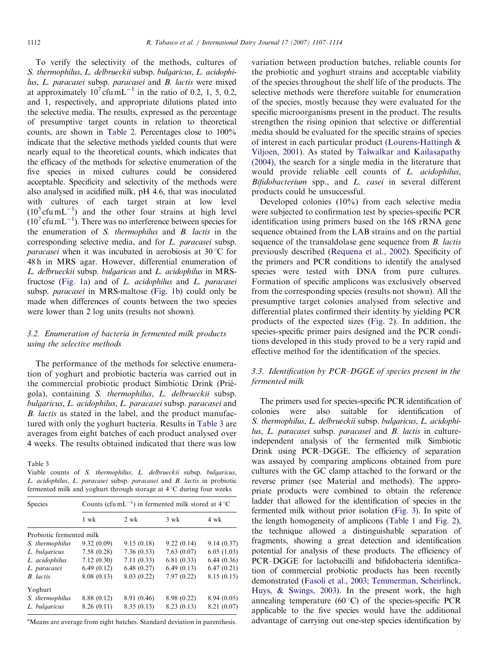To verify the selectivity of the methods, cultures of S. thermophilus, L. delbrueckii subsp. bulgaricus, L. acidophilus, L. paracasei subsp. paracasei and B. lactis were mixed at approximately  $10^7$  cfu mL<sup>-1</sup> in the ratio of 0.2, 1, 5, 0.2, and 1, respectively, and appropriate dilutions plated into the selective media. The results, expressed as the percentage of presumptive target counts in relation to theoretical counts, are shown in [Table 2](#page-4-0). Percentages close to 100% indicate that the selective methods yielded counts that were nearly equal to the theoretical counts, which indicates that the efficacy of the methods for selective enumeration of the five species in mixed cultures could be considered acceptable. Specificity and selectivity of the methods were also analysed in acidified milk, pH 4.6, that was inoculated with cultures of each target strain at low level  $(10<sup>5</sup>$  cfu mL<sup>-1</sup>) and the other four strains at high level  $(10<sup>7</sup>$  cfu mL<sup>-1</sup>). There was no interference between species for the enumeration of S. thermophilus and B. lactis in the corresponding selective media, and for L. paracasei subsp. *paracasei* when it was incubated in aerobiosis at  $30^{\circ}$ C for 48 h in MRS agar. However, differential enumeration of L. delbrueckii subsp. bulgaricus and L. acidophilus in MRSfructose ([Fig. 1a\)](#page-2-0) and of L. acidophilus and L. paracasei subsp. paracasei in MRS-maltose [\(Fig. 1b\)](#page-2-0) could only be made when differences of counts between the two species were lower than 2 log units (results not shown).

# 3.2. Enumeration of bacteria in fermented milk products using the selective methods

The performance of the methods for selective enumeration of yoghurt and probiotic bacteria was carried out in the commercial probiotic product Simbiotic Drink (Priégola), containing S. thermophilus, L. delbrueckii subsp. bulgaricus, L. acidophilus, L. paracasei subsp. paracasei and B. lactis as stated in the label, and the product manufactured with only the yoghurt bacteria. Results in Table 3 are averages from eight batches of each product analysed over 4 weeks. The results obtained indicated that there was low

Table 3

Viable counts of S. thermophilus, L. delbrueckii subsp. bulgaricus, L. acidophilus, L. paracasei subsp. paracasei and B. lactis in probiotic fermented milk and yoghurt through storage at  $4^{\circ}$ C during four weeks

| Species                  | Counts (cfu mL <sup>-1</sup> ) in fermented milk stored at $4^{\circ}$ C |                |                |            |  |  |
|--------------------------|--------------------------------------------------------------------------|----------------|----------------|------------|--|--|
|                          | $1$ wk                                                                   | $2 \text{ wk}$ | $3 \text{ wk}$ | 4 wk       |  |  |
| Probiotic fermented milk |                                                                          |                |                |            |  |  |
| S. thermophilus          | 9.32(0.09)                                                               | 9.15(0.18)     | 9.22(0.14)     | 9.14(0.37) |  |  |
| L. bulgaricus            | 7.58(0.28)                                                               | 7.36(0.53)     | 7.63(0.07)     | 6.05(1.03) |  |  |
| L. acidophilus           | 7.12(0.30)                                                               | 7.11(0.33)     | 6.81(0.33)     | 6.44(0.36) |  |  |
| L. paracasei             | 6.49(0.12)                                                               | 6.48(0.27)     | 6.49(0.13)     | 6.47(0.21) |  |  |
| <b>B.</b> lactis         | 8.08(0.13)                                                               | 8.03(0.22)     | 7.97(0.22)     | 8.15(0.15) |  |  |
| Yoghurt                  |                                                                          |                |                |            |  |  |
| S. thermophilus          | 8.88 (0.12)                                                              | 8.91 (0.46)    | 8.98 (0.22)    | 8.94(0.05) |  |  |
| L. bulgaricus            | 8.26(0.11)                                                               | 8.35(0.13)     | 8.23(0.13)     | 8.21(0.07) |  |  |

<sup>a</sup>Means are average from eight batches. Standard deviation in parenthesis.

variation between production batches, reliable counts for the probiotic and yoghurt strains and acceptable viability of the species throughout the shelf life of the products. The selective methods were therefore suitable for enumeration of the species, mostly because they were evaluated for the specific microorganisms present in the product. The results strengthen the rising opinion that selective or differential media should be evaluated for the specific strains of species of interest in each particular product [\(Lourens-Hattingh](#page-7-0) & [Viljoen, 2001](#page-7-0)). As stated by [Talwalkar and Kailasapathy](#page-7-0) [\(2004\)](#page-7-0), the search for a single media in the literature that would provide reliable cell counts of L. acidophilus, Bifidobacterium spp., and L. casei in several different products could be unsuccessful.

Developed colonies (10%) from each selective media were subjected to confirmation test by species-specific PCR identification using primers based on the 16S rRNA gene sequence obtained from the LAB strains and on the partial sequence of the transaldolase gene sequence from *B. lactis* previously described ([Requena et al., 2002\)](#page-7-0). Specificity of the primers and PCR conditions to identify the analysed species were tested with DNA from pure cultures. Formation of specific amplicons was exclusively observed from the corresponding species (results not shown). All the presumptive target colonies analysed from selective and differential plates confirmed their identity by yielding PCR products of the expected sizes [\(Fig. 2](#page-6-0)). In addition, the species-specific primer pairs designed and the PCR conditions developed in this study proved to be a very rapid and effective method for the identification of the species.

# 3.3. Identification by PCR–DGGE of species present in the fermented milk

The primers used for species-specific PCR identification of colonies were also suitable for identification of S. thermophilus, L. delbrueckii subsp. bulgaricus, L. acidophilus, L. paracasei subsp. paracasei and B. lactis in cultureindependent analysis of the fermented milk Simbiotic Drink using PCR–DGGE. The efficiency of separation was assayed by comparing amplicons obtained from pure cultures with the GC clamp attached to the forward or the reverse primer (see Material and methods). The appropriate products were combined to obtain the reference ladder that allowed for the identification of species in the fermented milk without prior isolation [\(Fig. 3](#page-6-0)). In spite of the length homogeneity of amplicons [\(Table 1](#page-2-0) and [Fig. 2\)](#page-6-0), the technique allowed a distinguishable separation of fragments, showing a great detection and identification potential for analysis of these products. The efficiency of PCR–DGGE for lactobacilli and bifidobacteria identification of commercial probiotic products has been recently demonstrated ([Fasoli et al., 2003;](#page-6-0) [Temmerman, Scheirlinck,](#page-7-0) [Huys,](#page-7-0) [& Swings, 2003](#page-7-0)). In the present work, the high annealing temperature (60 $^{\circ}$ C) of the species-specific PCR applicable to the five species would have the additional advantage of carrying out one-step species identification by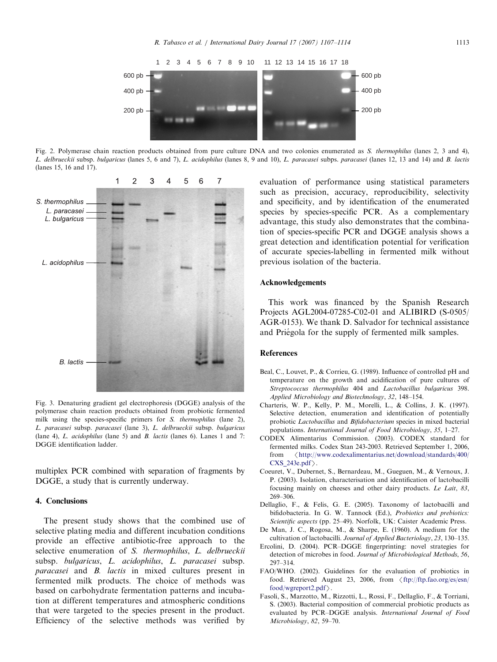<span id="page-6-0"></span>

Fig. 2. Polymerase chain reaction products obtained from pure culture DNA and two colonies enumerated as S. thermophilus (lanes 2, 3 and 4), L. delbrueckii subsp. bulgaricus (lanes 5, 6 and 7), L. acidophilus (lanes 8, 9 and 10), L. paracasei subps. paracasei (lanes 12, 13 and 14) and B. lactis (lanes 15, 16 and 17).



Fig. 3. Denaturing gradient gel electrophoresis (DGGE) analysis of the polymerase chain reaction products obtained from probiotic fermented milk using the species-specific primers for S. thermophilus (lane 2), L. paracasei subsp. paracasei (lane 3), L. delbrueckii subsp. bulgaricus (lane 4), L. acidophilus (lane 5) and B. lactis (lanes 6). Lanes 1 and 7: DGGE identification ladder.

multiplex PCR combined with separation of fragments by DGGE, a study that is currently underway.

# 4. Conclusions

The present study shows that the combined use of selective plating media and different incubation conditions provide an effective antibiotic-free approach to the selective enumeration of S. thermophilus, L. delbrueckii subsp. bulgaricus, L. acidophilus, L. paracasei subsp. paracasei and B. lactis in mixed cultures present in fermented milk products. The choice of methods was based on carbohydrate fermentation patterns and incubation at different temperatures and atmospheric conditions that were targeted to the species present in the product. Efficiency of the selective methods was verified by

evaluation of performance using statistical parameters such as precision, accuracy, reproducibility, selectivity and specificity, and by identification of the enumerated species by species-specific PCR. As a complementary advantage, this study also demonstrates that the combination of species-specific PCR and DGGE analysis shows a great detection and identification potential for verification of accurate species-labelling in fermented milk without previous isolation of the bacteria.

# Acknowledgements

This work was financed by the Spanish Research Projects AGL2004-07285-C02-01 and ALIBIRD (S-0505/ AGR-0153). We thank D. Salvador for technical assistance and Priégola for the supply of fermented milk samples.

### References

- Beal, C., Louvet, P., & Corrieu, G. (1989). Influence of controlled pH and temperature on the growth and acidification of pure cultures of Streptococcus thermophilus 404 and Lactobacillus bulgaricus 398. Applied Microbiology and Biotechnology, 32, 148–154.
- Charteris, W. P., Kelly, P. M., Morelli, L., & Collins, J. K. (1997). Selective detection, enumeration and identification of potentially probiotic Lactobacillus and Bifidobacterium species in mixed bacterial populations. International Journal of Food Microbiology, 35, 1–27.
- CODEX Alimentarius Commission. (2003). CODEX standard for fermented milks. Codex Stan 243-2003. Retrieved September 1, 2006, from /[http://www.codexalimentarius.net/download/standards/400/](http://www.codexalimentarius.net/download/standards/400/CXS_243e.pdf) CXS  $243e.pdf$ .
- Coeuret, V., Dubernet, S., Bernardeau, M., Gueguen, M., & Vernoux, J. P. (2003). Isolation, characterisation and identification of lactobacilli focusing mainly on cheeses and other dairy products. Le Lait, 83, 269–306.
- Dellaglio, F., & Felis, G. E. (2005). Taxonomy of lactobacilli and bifidobacteria. In G. W. Tannock (Ed.), Probiotics and prebiotics: Scientific aspects (pp. 25–49). Norfolk, UK: Caister Academic Press.
- De Man, J. C., Rogosa, M., & Sharpe, E. (1960). A medium for the cultivation of lactobacilli. Journal of Applied Bacteriology, 23, 130–135.
- Ercolini, D. (2004). PCR–DGGE fingerprinting: novel strategies for detection of microbes in food. Journal of Microbiological Methods, 56, 297–314.
- FAO/WHO. (2002). Guidelines for the evaluation of probiotics in food. Retrieved August 23, 2006, from  $\langle$  [ftp://ftp.fao.org/es/esn/](ftp://ftp.fao.org/es/esn/food/wgreport2.pdf) [food/wgreport2.pdf](ftp://ftp.fao.org/es/esn/food/wgreport2.pdf) $\rangle$ .
- Fasoli, S., Marzotto, M., Rizzotti, L., Rossi, F., Dellaglio, F., & Torriani, S. (2003). Bacterial composition of commercial probiotic products as evaluated by PCR–DGGE analysis. International Journal of Food Microbiology, 82, 59–70.